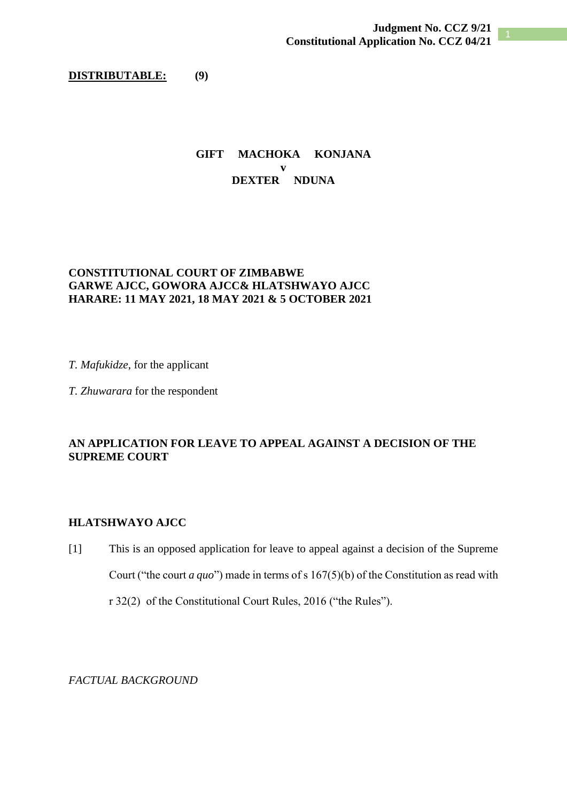### **DISTRIBUTABLE: (9)**

## **GIFT MACHOKA KONJANA v DEXTER NDUNA**

# **CONSTITUTIONAL COURT OF ZIMBABWE GARWE AJCC, GOWORA AJCC& HLATSHWAYO AJCC HARARE: 11 MAY 2021, 18 MAY 2021 & 5 OCTOBER 2021**

*T. Mafukidze*, for the applicant

*T. Zhuwarara* for the respondent

# **AN APPLICATION FOR LEAVE TO APPEAL AGAINST A DECISION OF THE SUPREME COURT**

### **HLATSHWAYO AJCC**

[1] This is an opposed application for leave to appeal against a decision of the Supreme Court ("the court *a quo*") made in terms of s 167(5)(b) of the Constitution as read with r 32(2) of the Constitutional Court Rules, 2016 ("the Rules").

*FACTUAL BACKGROUND*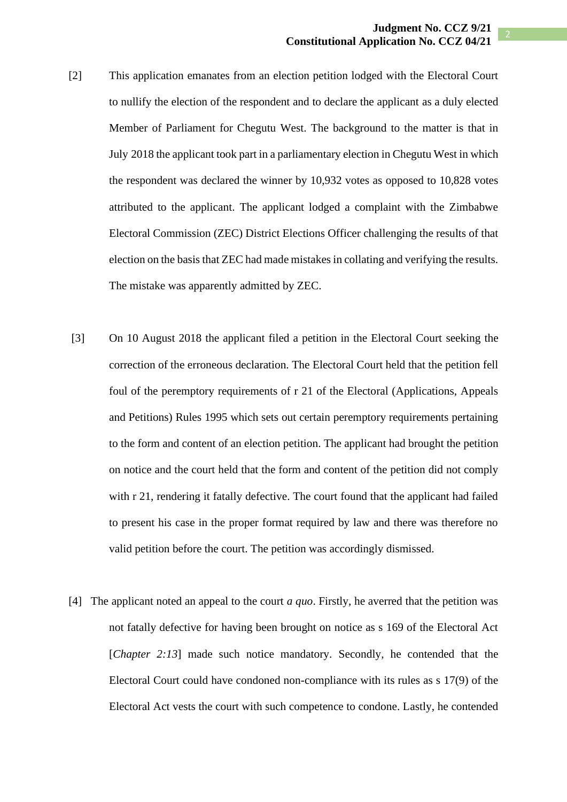- [2] This application emanates from an election petition lodged with the Electoral Court to nullify the election of the respondent and to declare the applicant as a duly elected Member of Parliament for Chegutu West. The background to the matter is that in July 2018 the applicant took part in a parliamentary election in Chegutu West in which the respondent was declared the winner by 10,932 votes as opposed to 10,828 votes attributed to the applicant. The applicant lodged a complaint with the Zimbabwe Electoral Commission (ZEC) District Elections Officer challenging the results of that election on the basis that ZEC had made mistakes in collating and verifying the results. The mistake was apparently admitted by ZEC.
- [3] On 10 August 2018 the applicant filed a petition in the Electoral Court seeking the correction of the erroneous declaration. The Electoral Court held that the petition fell foul of the peremptory requirements of r 21 of the Electoral (Applications, Appeals and Petitions) Rules 1995 which sets out certain peremptory requirements pertaining to the form and content of an election petition. The applicant had brought the petition on notice and the court held that the form and content of the petition did not comply with r 21, rendering it fatally defective. The court found that the applicant had failed to present his case in the proper format required by law and there was therefore no valid petition before the court. The petition was accordingly dismissed.
- [4] The applicant noted an appeal to the court *a quo*. Firstly, he averred that the petition was not fatally defective for having been brought on notice as s 169 of the Electoral Act [*Chapter 2:13*] made such notice mandatory. Secondly, he contended that the Electoral Court could have condoned non-compliance with its rules as s 17(9) of the Electoral Act vests the court with such competence to condone. Lastly, he contended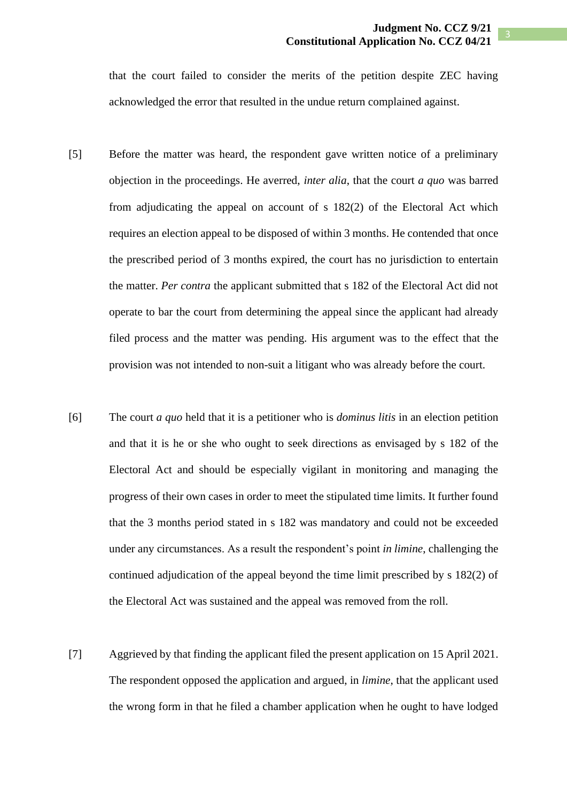that the court failed to consider the merits of the petition despite ZEC having acknowledged the error that resulted in the undue return complained against.

- [5] Before the matter was heard, the respondent gave written notice of a preliminary objection in the proceedings. He averred, *inter alia*, that the court *a quo* was barred from adjudicating the appeal on account of s 182(2) of the Electoral Act which requires an election appeal to be disposed of within 3 months. He contended that once the prescribed period of 3 months expired, the court has no jurisdiction to entertain the matter. *Per contra* the applicant submitted that s 182 of the Electoral Act did not operate to bar the court from determining the appeal since the applicant had already filed process and the matter was pending. His argument was to the effect that the provision was not intended to non-suit a litigant who was already before the court.
- [6] The court *a quo* held that it is a petitioner who is *dominus litis* in an election petition and that it is he or she who ought to seek directions as envisaged by s 182 of the Electoral Act and should be especially vigilant in monitoring and managing the progress of their own cases in order to meet the stipulated time limits. It further found that the 3 months period stated in s 182 was mandatory and could not be exceeded under any circumstances. As a result the respondent's point *in limine*, challenging the continued adjudication of the appeal beyond the time limit prescribed by s 182(2) of the Electoral Act was sustained and the appeal was removed from the roll.
- [7] Aggrieved by that finding the applicant filed the present application on 15 April 2021. The respondent opposed the application and argued, in *limine*, that the applicant used the wrong form in that he filed a chamber application when he ought to have lodged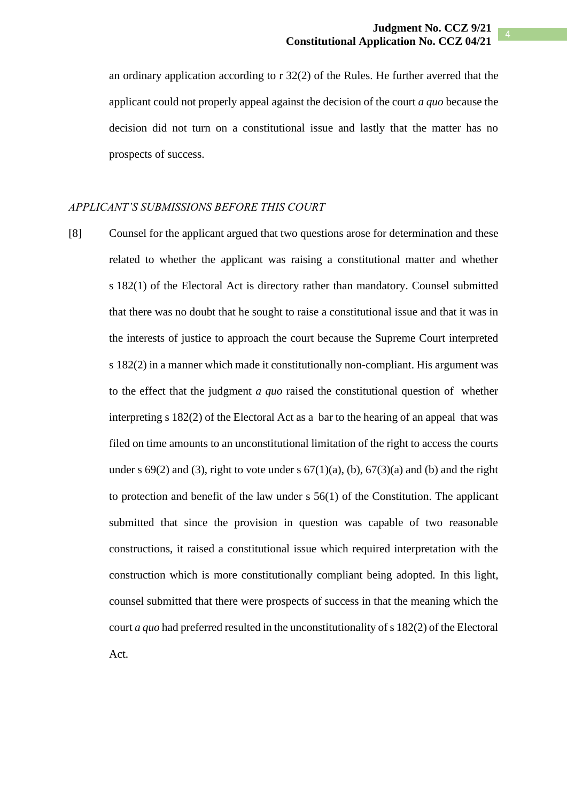an ordinary application according to r 32(2) of the Rules. He further averred that the applicant could not properly appeal against the decision of the court *a quo* because the decision did not turn on a constitutional issue and lastly that the matter has no prospects of success.

#### *APPLICANT'S SUBMISSIONS BEFORE THIS COURT*

[8] Counsel for the applicant argued that two questions arose for determination and these related to whether the applicant was raising a constitutional matter and whether s 182(1) of the Electoral Act is directory rather than mandatory. Counsel submitted that there was no doubt that he sought to raise a constitutional issue and that it was in the interests of justice to approach the court because the Supreme Court interpreted s 182(2) in a manner which made it constitutionally non-compliant. His argument was to the effect that the judgment *a quo* raised the constitutional question of whether interpreting s 182(2) of the Electoral Act as a bar to the hearing of an appeal that was filed on time amounts to an unconstitutional limitation of the right to access the courts under s  $69(2)$  and (3), right to vote under s  $67(1)(a)$ , (b),  $67(3)(a)$  and (b) and the right to protection and benefit of the law under s 56(1) of the Constitution. The applicant submitted that since the provision in question was capable of two reasonable constructions, it raised a constitutional issue which required interpretation with the construction which is more constitutionally compliant being adopted. In this light, counsel submitted that there were prospects of success in that the meaning which the court *a quo* had preferred resulted in the unconstitutionality of s 182(2) of the Electoral Act.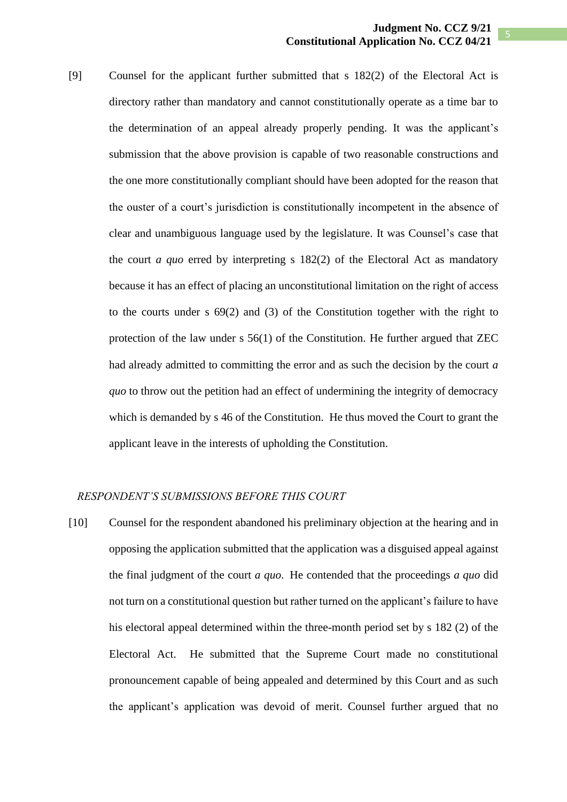[9] Counsel for the applicant further submitted that s 182(2) of the Electoral Act is directory rather than mandatory and cannot constitutionally operate as a time bar to the determination of an appeal already properly pending. It was the applicant's submission that the above provision is capable of two reasonable constructions and the one more constitutionally compliant should have been adopted for the reason that the ouster of a court's jurisdiction is constitutionally incompetent in the absence of clear and unambiguous language used by the legislature. It was Counsel's case that the court *a quo* erred by interpreting s 182(2) of the Electoral Act as mandatory because it has an effect of placing an unconstitutional limitation on the right of access to the courts under s 69(2) and (3) of the Constitution together with the right to protection of the law under s 56(1) of the Constitution. He further argued that ZEC had already admitted to committing the error and as such the decision by the court *a quo* to throw out the petition had an effect of undermining the integrity of democracy which is demanded by s 46 of the Constitution. He thus moved the Court to grant the applicant leave in the interests of upholding the Constitution.

### *RESPONDENT'S SUBMISSIONS BEFORE THIS COURT*

[10] Counsel for the respondent abandoned his preliminary objection at the hearing and in opposing the application submitted that the application was a disguised appeal against the final judgment of the court *a quo*. He contended that the proceedings *a quo* did not turn on a constitutional question but rather turned on the applicant's failure to have his electoral appeal determined within the three-month period set by s 182 (2) of the Electoral Act. He submitted that the Supreme Court made no constitutional pronouncement capable of being appealed and determined by this Court and as such the applicant's application was devoid of merit. Counsel further argued that no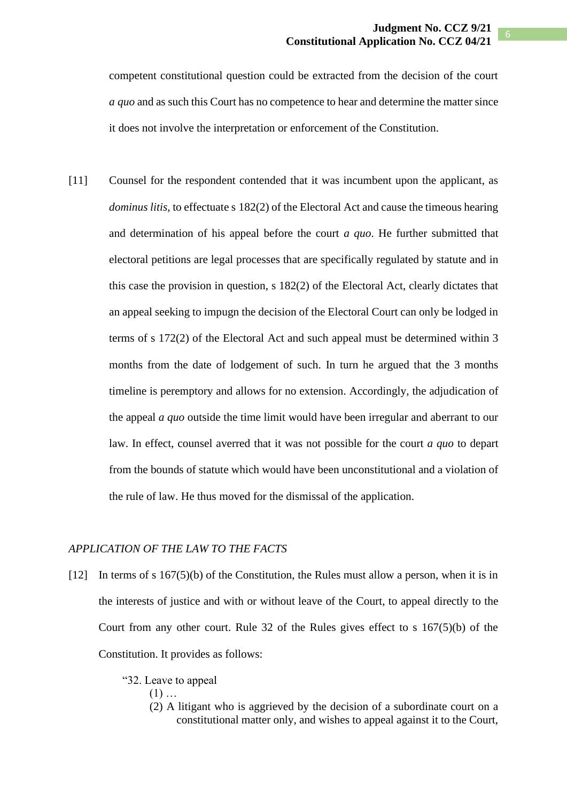competent constitutional question could be extracted from the decision of the court *a quo* and as such this Court has no competence to hear and determine the matter since it does not involve the interpretation or enforcement of the Constitution.

[11] Counsel for the respondent contended that it was incumbent upon the applicant, as *dominus litis*, to effectuate s 182(2) of the Electoral Act and cause the timeous hearing and determination of his appeal before the court *a quo*. He further submitted that electoral petitions are legal processes that are specifically regulated by statute and in this case the provision in question, s 182(2) of the Electoral Act, clearly dictates that an appeal seeking to impugn the decision of the Electoral Court can only be lodged in terms of s 172(2) of the Electoral Act and such appeal must be determined within 3 months from the date of lodgement of such. In turn he argued that the 3 months timeline is peremptory and allows for no extension. Accordingly, the adjudication of the appeal *a quo* outside the time limit would have been irregular and aberrant to our law. In effect, counsel averred that it was not possible for the court *a quo* to depart from the bounds of statute which would have been unconstitutional and a violation of the rule of law. He thus moved for the dismissal of the application.

## *APPLICATION OF THE LAW TO THE FACTS*

- [12] In terms of s 167(5)(b) of the Constitution, the Rules must allow a person, when it is in the interests of justice and with or without leave of the Court, to appeal directly to the Court from any other court. Rule 32 of the Rules gives effect to s 167(5)(b) of the Constitution. It provides as follows:
	- "32. Leave to appeal
		- $(1)$  ...
		- (2) A litigant who is aggrieved by the decision of a subordinate court on a constitutional matter only, and wishes to appeal against it to the Court,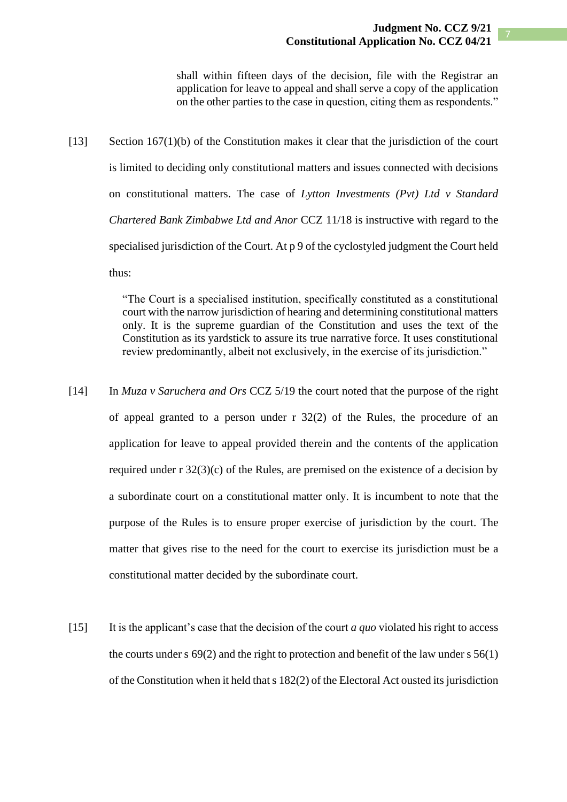shall within fifteen days of the decision, file with the Registrar an application for leave to appeal and shall serve a copy of the application on the other parties to the case in question, citing them as respondents."

[13] Section 167(1)(b) of the Constitution makes it clear that the jurisdiction of the court is limited to deciding only constitutional matters and issues connected with decisions on constitutional matters. The case of *Lytton Investments (Pvt) Ltd v Standard Chartered Bank Zimbabwe Ltd and Anor* CCZ 11/18 is instructive with regard to the specialised jurisdiction of the Court. At p 9 of the cyclostyled judgment the Court held thus:

> "The Court is a specialised institution, specifically constituted as a constitutional court with the narrow jurisdiction of hearing and determining constitutional matters only. It is the supreme guardian of the Constitution and uses the text of the Constitution as its yardstick to assure its true narrative force. It uses constitutional review predominantly, albeit not exclusively, in the exercise of its jurisdiction."

- [14] In *Muza v Saruchera and Ors* CCZ 5/19 the court noted that the purpose of the right of appeal granted to a person under r 32(2) of the Rules, the procedure of an application for leave to appeal provided therein and the contents of the application required under r 32(3)(c) of the Rules, are premised on the existence of a decision by a subordinate court on a constitutional matter only. It is incumbent to note that the purpose of the Rules is to ensure proper exercise of jurisdiction by the court. The matter that gives rise to the need for the court to exercise its jurisdiction must be a constitutional matter decided by the subordinate court.
- [15] It is the applicant's case that the decision of the court *a quo* violated his right to access the courts under s  $69(2)$  and the right to protection and benefit of the law under s  $56(1)$ of the Constitution when it held that s 182(2) of the Electoral Act ousted its jurisdiction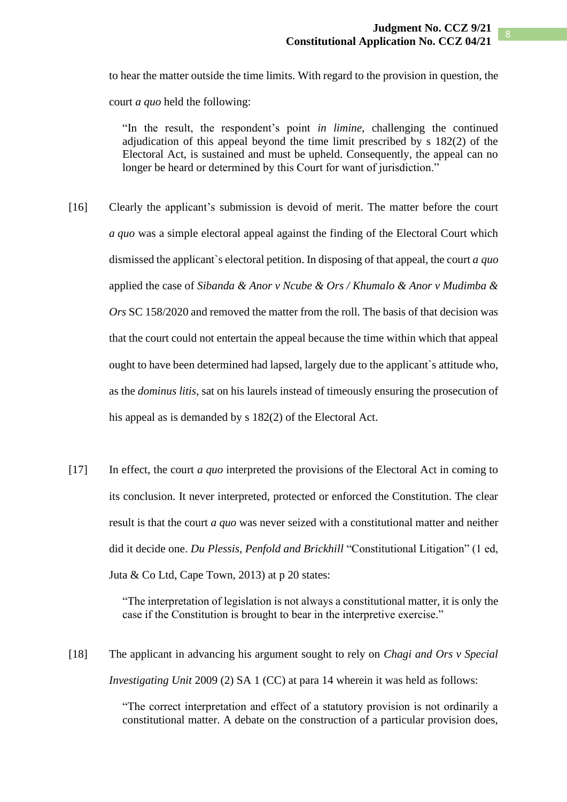to hear the matter outside the time limits. With regard to the provision in question, the court *a quo* held the following:

"In the result, the respondent's point *in limine*, challenging the continued adjudication of this appeal beyond the time limit prescribed by s 182(2) of the Electoral Act, is sustained and must be upheld. Consequently, the appeal can no longer be heard or determined by this Court for want of jurisdiction."

- [16] Clearly the applicant's submission is devoid of merit. The matter before the court *a quo* was a simple electoral appeal against the finding of the Electoral Court which dismissed the applicant`s electoral petition. In disposing of that appeal, the court *a quo* applied the case of *Sibanda & Anor v Ncube & Ors / Khumalo & Anor v Mudimba & Ors* SC 158/2020 and removed the matter from the roll. The basis of that decision was that the court could not entertain the appeal because the time within which that appeal ought to have been determined had lapsed, largely due to the applicant`s attitude who, as the *dominus litis*, sat on his laurels instead of timeously ensuring the prosecution of his appeal as is demanded by s 182(2) of the Electoral Act.
- [17] In effect, the court *a quo* interpreted the provisions of the Electoral Act in coming to its conclusion. It never interpreted, protected or enforced the Constitution. The clear result is that the court *a quo* was never seized with a constitutional matter and neither did it decide one. *Du Plessis, Penfold and Brickhill* "Constitutional Litigation" (1 ed, Juta  $& Co$  Ltd, Cape Town, 2013) at p 20 states:

"The interpretation of legislation is not always a constitutional matter, it is only the case if the Constitution is brought to bear in the interpretive exercise."

[18] The applicant in advancing his argument sought to rely on *Chagi and Ors v Special Investigating Unit* 2009 (2) SA 1 (CC) at para 14 wherein it was held as follows:

> "The correct interpretation and effect of a statutory provision is not ordinarily a constitutional matter. A debate on the construction of a particular provision does,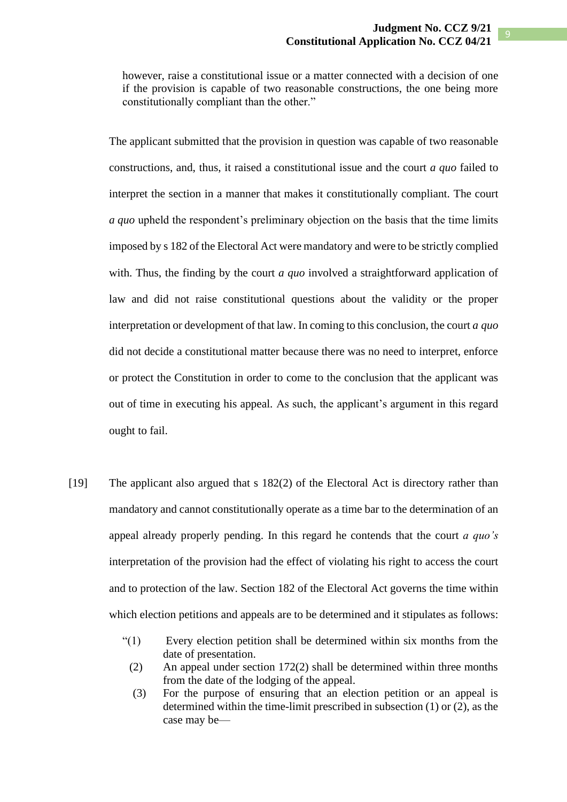9

however, raise a constitutional issue or a matter connected with a decision of one if the provision is capable of two reasonable constructions, the one being more constitutionally compliant than the other."

The applicant submitted that the provision in question was capable of two reasonable constructions, and, thus, it raised a constitutional issue and the court *a quo* failed to interpret the section in a manner that makes it constitutionally compliant. The court *a quo* upheld the respondent's preliminary objection on the basis that the time limits imposed by s 182 of the Electoral Act were mandatory and were to be strictly complied with. Thus, the finding by the court *a quo* involved a straightforward application of law and did not raise constitutional questions about the validity or the proper interpretation or development of that law. In coming to this conclusion, the court *a quo* did not decide a constitutional matter because there was no need to interpret, enforce or protect the Constitution in order to come to the conclusion that the applicant was out of time in executing his appeal. As such, the applicant's argument in this regard ought to fail.

- [19] The applicant also argued that s 182(2) of the Electoral Act is directory rather than mandatory and cannot constitutionally operate as a time bar to the determination of an appeal already properly pending. In this regard he contends that the court *a quo's* interpretation of the provision had the effect of violating his right to access the court and to protection of the law. Section 182 of the Electoral Act governs the time within which election petitions and appeals are to be determined and it stipulates as follows:
	- "(1) Every election petition shall be determined within six months from the date of presentation.
		- (2) An appeal under section 172(2) shall be determined within three months from the date of the lodging of the appeal.
		- (3) For the purpose of ensuring that an election petition or an appeal is determined within the time-limit prescribed in subsection (1) or (2), as the case may be—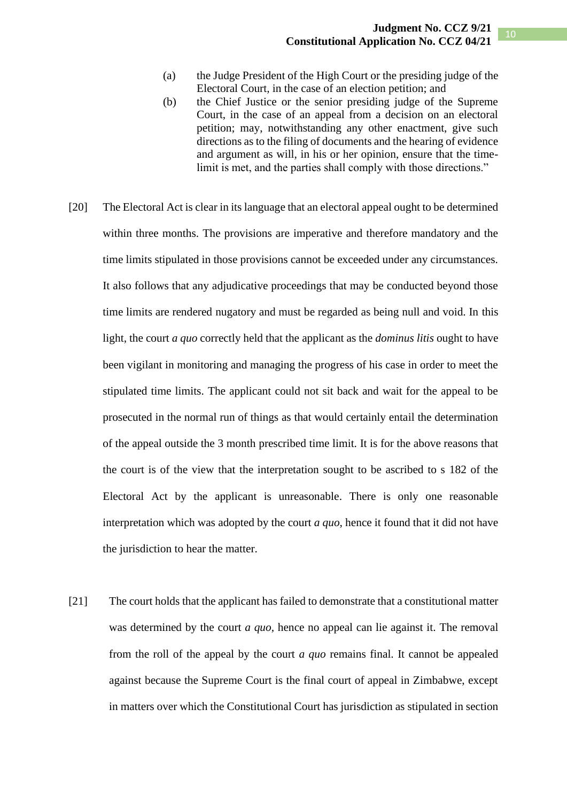- (a) the Judge President of the High Court or the presiding judge of the Electoral Court, in the case of an election petition; and
- (b) the Chief Justice or the senior presiding judge of the Supreme Court, in the case of an appeal from a decision on an electoral petition; may, notwithstanding any other enactment, give such directions as to the filing of documents and the hearing of evidence and argument as will, in his or her opinion, ensure that the timelimit is met, and the parties shall comply with those directions."
- [20] The Electoral Act is clear in its language that an electoral appeal ought to be determined within three months. The provisions are imperative and therefore mandatory and the time limits stipulated in those provisions cannot be exceeded under any circumstances. It also follows that any adjudicative proceedings that may be conducted beyond those time limits are rendered nugatory and must be regarded as being null and void. In this light, the court *a quo* correctly held that the applicant as the *dominus litis* ought to have been vigilant in monitoring and managing the progress of his case in order to meet the stipulated time limits. The applicant could not sit back and wait for the appeal to be prosecuted in the normal run of things as that would certainly entail the determination of the appeal outside the 3 month prescribed time limit. It is for the above reasons that the court is of the view that the interpretation sought to be ascribed to s 182 of the Electoral Act by the applicant is unreasonable. There is only one reasonable interpretation which was adopted by the court *a quo,* hence it found that it did not have the jurisdiction to hear the matter.
- [21] The court holds that the applicant has failed to demonstrate that a constitutional matter was determined by the court *a quo,* hence no appeal can lie against it. The removal from the roll of the appeal by the court *a quo* remains final. It cannot be appealed against because the Supreme Court is the final court of appeal in Zimbabwe, except in matters over which the Constitutional Court has jurisdiction as stipulated in section